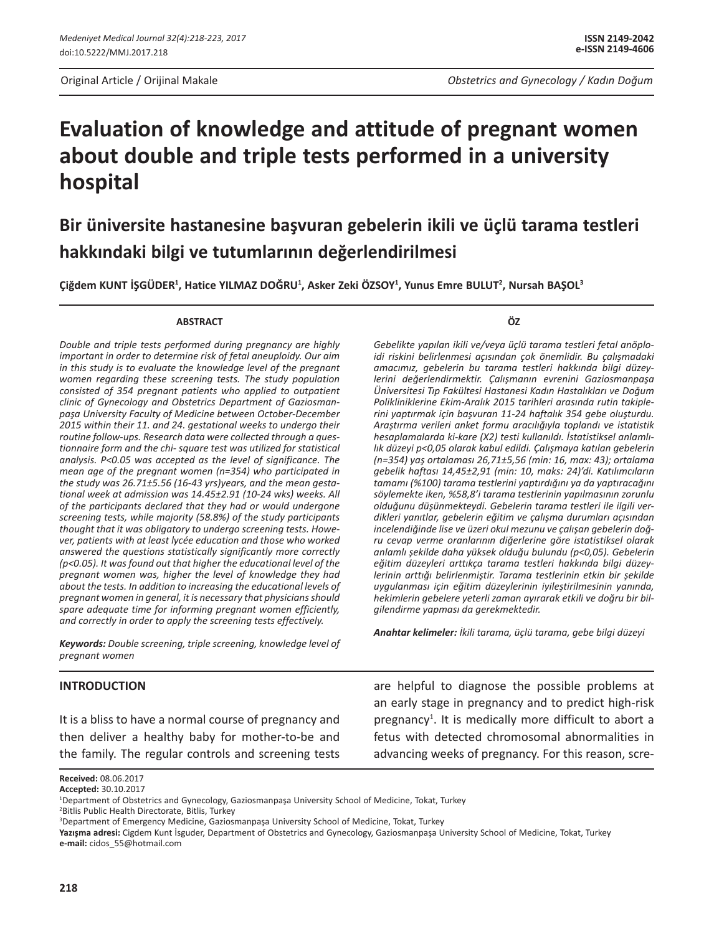# **Evaluation of knowledge and attitude of pregnant women about double and triple tests performed in a university hospital**

# **Bir üniversite hastanesine başvuran gebelerin ikili ve üçlü tarama testleri hakkındaki bilgi ve tutumlarının değerlendirilmesi**

**Çiğdem KUNT İŞGÜDER<sup>1</sup> , Hatice YILMAZ DOĞRU<sup>1</sup> , Asker Zeki ÖZSOY<sup>1</sup> , Yunus Emre BULUT<sup>2</sup> , Nursah BAŞOL<sup>3</sup>**

#### **ABSTRACT**

*Double and triple tests performed during pregnancy are highly important in order to determine risk of fetal aneuploidy. Our aim in this study is to evaluate the knowledge level of the pregnant women regarding these screening tests. The study population consisted of 354 pregnant patients who applied to outpatient clinic of Gynecology and Obstetrics Department of Gaziosmanpaşa University Faculty of Medicine between October-December 2015 within their 11. and 24. gestational weeks to undergo their routine follow-ups. Research data were collected through a questionnaire form and the chi- square test was utilized for statistical analysis. P<0.05 was accepted as the level of significance. The mean age of the pregnant women (n=354) who participated in the study was 26.71±5.56 (16-43 yrs)years, and the mean gestational week at admission was 14.45±2.91 (10-24 wks) weeks. All of the participants declared that they had or would undergone screening tests, while majority (58.8%) of the study participants thought that it was obligatory to undergo screening tests. However, patients with at least lycée education and those who worked answered the questions statistically significantly more correctly (p<0.05). It was found out that higher the educational level of the pregnant women was, higher the level of knowledge they had about the tests. In addition to increasing the educational levels of pregnant women in general, it is necessary that physicians should spare adequate time for informing pregnant women efficiently, and correctly in order to apply the screening tests effectively.*

*Keywords: Double screening, triple screening, knowledge level of pregnant women*

#### **INTRODUCTION**

It is a bliss to have a normal course of pregnancy and then deliver a healthy baby for mother-to-be and the family. The regular controls and screening tests **ÖZ**

*Gebelikte yapılan ikili ve/veya üçlü tarama testleri fetal anöploidi riskini belirlenmesi açısından çok önemlidir. Bu çalışmadaki amacımız, gebelerin bu tarama testleri hakkında bilgi düzeylerini değerlendirmektir. Çalışmanın evrenini Gaziosmanpaşa Üniversitesi Tıp Fakültesi Hastanesi Kadın Hastalıkları ve Doğum Polikliniklerine Ekim-Aralık 2015 tarihleri arasında rutin takiplerini yaptırmak için başvuran 11-24 haftalık 354 gebe oluşturdu. Araştırma verileri anket formu aracılığıyla toplandı ve istatistik hesaplamalarda ki-kare (X2) testi kullanıldı. İstatistiksel anlamlılık düzeyi p<0,05 olarak kabul edildi. Çalışmaya katılan gebelerin (n=354) yaş ortalaması 26,71±5,56 (min: 16, max: 43); ortalama gebelik haftası 14,45±2,91 (min: 10, maks: 24)'di. Katılımcıların tamamı (%100) tarama testlerini yaptırdığını ya da yaptıracağını söylemekte iken, %58,8'i tarama testlerinin yapılmasının zorunlu olduğunu düşünmekteydi. Gebelerin tarama testleri ile ilgili verdikleri yanıtlar, gebelerin eğitim ve çalışma durumları açısından incelendiğinde lise ve üzeri okul mezunu ve çalışan gebelerin doğru cevap verme oranlarının diğerlerine göre istatistiksel olarak anlamlı şekilde daha yüksek olduğu bulundu (p<0,05). Gebelerin eğitim düzeyleri arttıkça tarama testleri hakkında bilgi düzeylerinin arttığı belirlenmiştir. Tarama testlerinin etkin bir şekilde uygulanması için eğitim düzeylerinin iyileştirilmesinin yanında, hekimlerin gebelere yeterli zaman ayırarak etkili ve doğru bir bilgilendirme yapması da gerekmektedir.*

*Anahtar kelimeler: İkili tarama, üçlü tarama, gebe bilgi düzeyi*

are helpful to diagnose the possible problems at an early stage in pregnancy and to predict high-risk pregnancy<sup>1</sup>. It is medically more difficult to abort a fetus with detected chromosomal abnormalities in advancing weeks of pregnancy. For this reason, scre-

<sup>2</sup>Bitlis Public Health Directorate, Bitlis, Turkey

**Yazışma adresi:** Cigdem Kunt İsguder, Department of Obstetrics and Gynecology, Gaziosmanpaşa University School of Medicine, Tokat, Turkey **e-mail:** cidos\_55@hotmail.com

**Received:** 08.06.2017 **Accepted:** 30.10.2017

<sup>1</sup> Department of Obstetrics and Gynecology, Gaziosmanpaşa University School of Medicine, Tokat, Turkey

<sup>3</sup> Department of Emergency Medicine, Gaziosmanpaşa University School of Medicine, Tokat, Turkey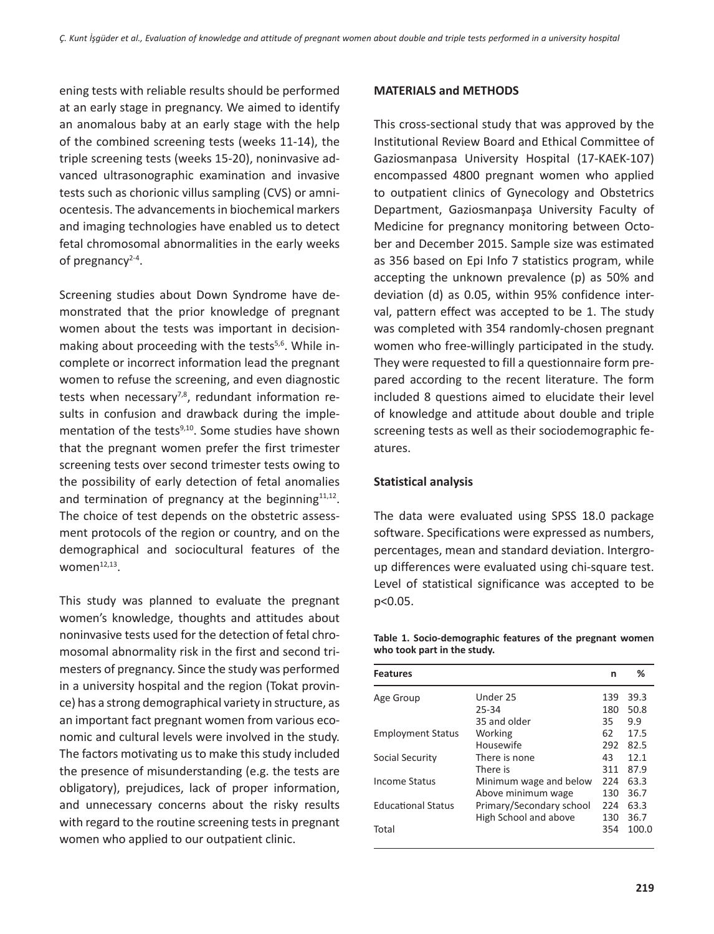ening tests with reliable results should be performed at an early stage in pregnancy. We aimed to identify an anomalous baby at an early stage with the help of the combined screening tests (weeks 11-14), the triple screening tests (weeks 15-20), noninvasive advanced ultrasonographic examination and invasive tests such as chorionic villus sampling (CVS) or amniocentesis. The advancements in biochemical markers and imaging technologies have enabled us to detect fetal chromosomal abnormalities in the early weeks of pregnancy $2-4$ .

Screening studies about Down Syndrome have demonstrated that the prior knowledge of pregnant women about the tests was important in decisionmaking about proceeding with the tests<sup>5,6</sup>. While incomplete or incorrect information lead the pregnant women to refuse the screening, and even diagnostic tests when necessary<sup>7,8</sup>, redundant information results in confusion and drawback during the implementation of the tests<sup>9,10</sup>. Some studies have shown that the pregnant women prefer the first trimester screening tests over second trimester tests owing to the possibility of early detection of fetal anomalies and termination of pregnancy at the beginning $11,12$ . The choice of test depends on the obstetric assessment protocols of the region or country, and on the demographical and sociocultural features of the women $12,13$ .

This study was planned to evaluate the pregnant women's knowledge, thoughts and attitudes about noninvasive tests used for the detection of fetal chromosomal abnormality risk in the first and second trimesters of pregnancy. Since the study was performed in a university hospital and the region (Tokat province) has a strong demographical variety in structure, as an important fact pregnant women from various economic and cultural levels were involved in the study. The factors motivating us to make this study included the presence of misunderstanding (e.g. the tests are obligatory), prejudices, lack of proper information, and unnecessary concerns about the risky results with regard to the routine screening tests in pregnant women who applied to our outpatient clinic.

#### **MATERIALS and METHODS**

This cross-sectional study that was approved by the Institutional Review Board and Ethical Committee of Gaziosmanpasa University Hospital (17-KAEK-107) encompassed 4800 pregnant women who applied to outpatient clinics of Gynecology and Obstetrics Department, Gaziosmanpaşa University Faculty of Medicine for pregnancy monitoring between October and December 2015. Sample size was estimated as 356 based on Epi Info 7 statistics program, while accepting the unknown prevalence (p) as 50% and deviation (d) as 0.05, within 95% confidence interval, pattern effect was accepted to be 1. The study was completed with 354 randomly-chosen pregnant women who free-willingly participated in the study. They were requested to fill a questionnaire form prepared according to the recent literature. The form included 8 questions aimed to elucidate their level of knowledge and attitude about double and triple screening tests as well as their sociodemographic features.

### **Statistical analysis**

The data were evaluated using SPSS 18.0 package software. Specifications were expressed as numbers, percentages, mean and standard deviation. Intergroup differences were evaluated using chi-square test. Level of statistical significance was accepted to be p<0.05.

**Table 1. Socio-demographic features of the pregnant women who took part in the study.**

| <b>Features</b>           |                          | n   | ℅     |
|---------------------------|--------------------------|-----|-------|
| Age Group                 | Under 25                 | 139 | 39.3  |
|                           | 25-34                    | 180 | 50.8  |
|                           | 35 and older             | 35  | 9.9   |
| <b>Employment Status</b>  | Working                  | 62  | 17.5  |
|                           | Housewife                | 292 | 82.5  |
| Social Security           | There is none            | 43  | 12.1  |
|                           | There is                 | 311 | 87.9  |
| <b>Income Status</b>      | Minimum wage and below   | 224 | 63.3  |
|                           | Above minimum wage       | 130 | 36.7  |
| <b>Educational Status</b> | Primary/Secondary school | 224 | 63.3  |
|                           | High School and above    | 130 | 36.7  |
| Total                     |                          | 354 | 100.0 |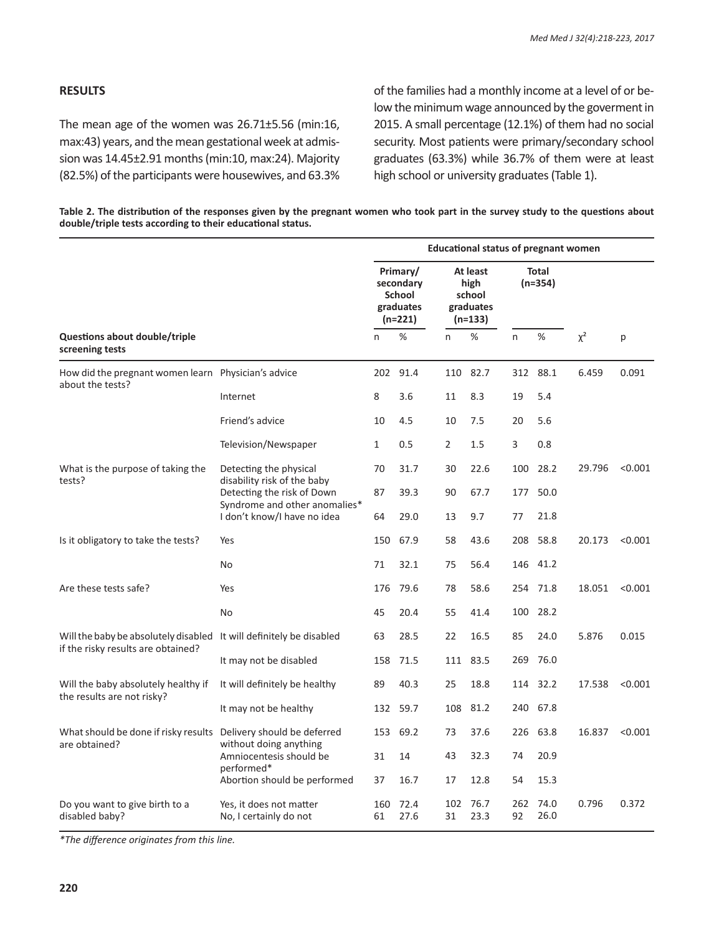### **RESULTS**

The mean age of the women was 26.71±5.56 (min:16, max:43) years, and the mean gestational week at admission was 14.45±2.91 months (min:10, max:24). Majority (82.5%) of the participants were housewives, and 63.3% of the families had a monthly income at a level of or below the minimum wage announced by the goverment in 2015. A small percentage (12.1%) of them had no social security. Most patients were primary/secondary school graduates (63.3%) while 36.7% of them were at least high school or university graduates (Table 1).

| Table 2. The distribution of the responses given by the pregnant women who took part in the survey study to the questions about |  |
|---------------------------------------------------------------------------------------------------------------------------------|--|
| double/triple tests according to their educational status.                                                                      |  |

|                                                                                                           |                                                              | <b>Educational status of pregnant women</b>                    |              |                                                    |              |                           |               |        |         |
|-----------------------------------------------------------------------------------------------------------|--------------------------------------------------------------|----------------------------------------------------------------|--------------|----------------------------------------------------|--------------|---------------------------|---------------|--------|---------|
|                                                                                                           |                                                              | Primary/<br>secondary<br><b>School</b><br>graduates<br>(n=221) |              | At least<br>high<br>school<br>graduates<br>(n=133) |              | <b>Total</b><br>$(n=354)$ |               |        |         |
| Questions about double/triple<br>screening tests                                                          |                                                              | n                                                              | $\%$         | n                                                  | %            | n                         | %<br>$\chi^2$ | р      |         |
| How did the pregnant women learn Physician's advice<br>about the tests?                                   |                                                              | 202                                                            | 91.4         | 110                                                | 82.7         |                           | 312 88.1      | 6.459  | 0.091   |
|                                                                                                           | Internet                                                     | 8                                                              | 3.6          | 11                                                 | 8.3          | 19                        | 5.4           |        |         |
|                                                                                                           | Friend's advice                                              | 10                                                             | 4.5          | 10                                                 | 7.5          | 20                        | 5.6           |        |         |
|                                                                                                           | Television/Newspaper                                         | $\mathbf{1}$                                                   | 0.5          | $\overline{2}$                                     | 1.5          | 3                         | 0.8           |        |         |
| What is the purpose of taking the<br>tests?                                                               | Detecting the physical                                       | 70                                                             | 31.7         | 30                                                 | 22.6         | 100                       | 28.2          | 29.796 | < 0.001 |
|                                                                                                           | disability risk of the baby<br>Detecting the risk of Down    | 87                                                             | 39.3         | 90                                                 | 67.7         | 177                       | 50.0          |        |         |
|                                                                                                           | Syndrome and other anomalies*<br>I don't know/I have no idea | 64                                                             | 29.0         | 13                                                 | 9.7          | 77                        | 21.8          |        |         |
| Is it obligatory to take the tests?                                                                       | Yes                                                          | 150                                                            | 67.9         | 58                                                 | 43.6         | 208                       | 58.8          | 20.173 | < 0.001 |
|                                                                                                           | No                                                           | 71                                                             | 32.1         | 75                                                 | 56.4         | 146                       | 41.2          |        |         |
| Are these tests safe?                                                                                     | Yes                                                          | 176                                                            | 79.6         | 78                                                 | 58.6         | 254                       | 71.8          | 18.051 | < 0.001 |
|                                                                                                           | No                                                           | 45                                                             | 20.4         | 55                                                 | 41.4         | 100                       | 28.2          |        |         |
| Will the baby be absolutely disabled It will definitely be disabled<br>if the risky results are obtained? |                                                              | 63                                                             | 28.5         | 22                                                 | 16.5         | 85                        | 24.0          | 5.876  | 0.015   |
|                                                                                                           | It may not be disabled                                       | 158                                                            | 71.5         | 111                                                | 83.5         | 269                       | 76.0          |        |         |
| Will the baby absolutely healthy if<br>the results are not risky?                                         | It will definitely be healthy                                | 89                                                             | 40.3         | 25                                                 | 18.8         | 114                       | 32.2          | 17.538 | < 0.001 |
|                                                                                                           | It may not be healthy                                        | 132                                                            | 59.7         | 108                                                | 81.2         | 240                       | 67.8          |        |         |
| What should be done if risky results<br>are obtained?                                                     | Delivery should be deferred<br>without doing anything        | 153                                                            | 69.2         | 73                                                 | 37.6         |                           | 226 63.8      | 16.837 | < 0.001 |
|                                                                                                           | Amniocentesis should be<br>performed*                        | 31                                                             | 14           | 43                                                 | 32.3         | 74                        | 20.9          |        |         |
|                                                                                                           | Abortion should be performed                                 | 37                                                             | 16.7         | 17                                                 | 12.8         | 54                        | 15.3          |        |         |
| Do you want to give birth to a<br>disabled baby?                                                          | Yes, it does not matter<br>No, I certainly do not            | 160<br>61                                                      | 72.4<br>27.6 | 102<br>31                                          | 76.7<br>23.3 | 262<br>92                 | 74.0<br>26.0  | 0.796  | 0.372   |

*\*The difference originates from this line.*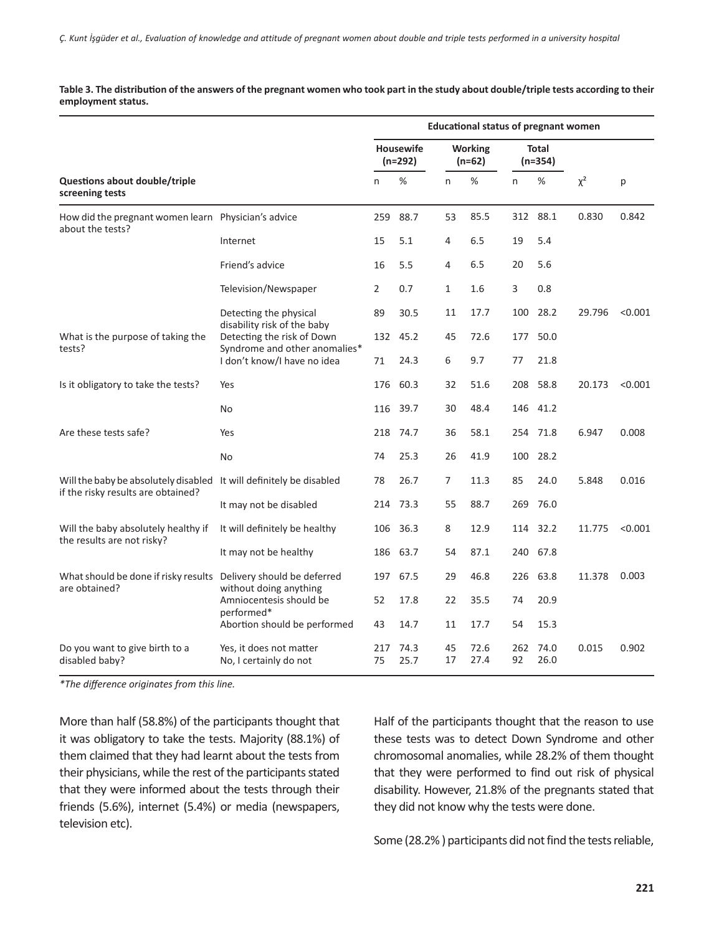**Table 3. The distribution of the answers of the pregnant women who took part in the study about double/triple tests according to their employment status.**

|                                                                                                           |                                                              | <b>Educational status of pregnant women</b> |              |                            |              |                           |              |          |         |
|-----------------------------------------------------------------------------------------------------------|--------------------------------------------------------------|---------------------------------------------|--------------|----------------------------|--------------|---------------------------|--------------|----------|---------|
|                                                                                                           |                                                              | <b>Housewife</b><br>$(n=292)$               |              | <b>Working</b><br>$(n=62)$ |              | <b>Total</b><br>$(n=354)$ |              |          |         |
| Questions about double/triple<br>screening tests                                                          |                                                              | n                                           | %            | n                          | %            | n                         | %            | $\chi^2$ | p       |
| How did the pregnant women learn Physician's advice<br>about the tests?                                   |                                                              | 259                                         | 88.7         | 53                         | 85.5         | 312                       | 88.1         | 0.830    | 0.842   |
|                                                                                                           | Internet                                                     | 15                                          | 5.1          | 4                          | 6.5          | 19                        | 5.4          |          |         |
|                                                                                                           | Friend's advice                                              | 16                                          | 5.5          | 4                          | 6.5          | 20                        | 5.6          |          |         |
|                                                                                                           | Television/Newspaper                                         | 2                                           | 0.7          | 1                          | 1.6          | 3                         | 0.8          |          |         |
|                                                                                                           | Detecting the physical                                       | 89                                          | 30.5         | 11                         | 17.7         | 100                       | 28.2         | 29.796   | < 0.001 |
| What is the purpose of taking the<br>tests?                                                               | disability risk of the baby<br>Detecting the risk of Down    | 132                                         | 45.2         | 45                         | 72.6         | 177                       | 50.0         |          |         |
|                                                                                                           | Syndrome and other anomalies*<br>I don't know/I have no idea | 71                                          | 24.3         | 6                          | 9.7          | 77                        | 21.8         |          |         |
| Is it obligatory to take the tests?                                                                       | Yes                                                          | 176                                         | 60.3         | 32                         | 51.6         | 208                       | 58.8         | 20.173   | < 0.001 |
|                                                                                                           | No                                                           | 116                                         | 39.7         | 30                         | 48.4         | 146                       | 41.2         |          |         |
| Are these tests safe?                                                                                     | Yes                                                          | 218                                         | 74.7         | 36                         | 58.1         | 254                       | 71.8         | 6.947    | 0.008   |
|                                                                                                           | No                                                           | 74                                          | 25.3         | 26                         | 41.9         | 100                       | 28.2         |          |         |
| Will the baby be absolutely disabled It will definitely be disabled<br>if the risky results are obtained? |                                                              | 78                                          | 26.7         | 7                          | 11.3         | 85                        | 24.0         | 5.848    | 0.016   |
|                                                                                                           | It may not be disabled                                       | 214                                         | 73.3         | 55                         | 88.7         | 269                       | 76.0         |          |         |
| Will the baby absolutely healthy if<br>the results are not risky?                                         | It will definitely be healthy                                | 106                                         | 36.3         | 8                          | 12.9         | 114                       | 32.2         | 11.775   | < 0.001 |
|                                                                                                           | It may not be healthy                                        | 186                                         | 63.7         | 54                         | 87.1         | 240                       | 67.8         |          |         |
| What should be done if risky results<br>are obtained?                                                     | Delivery should be deferred                                  | 197                                         | 67.5         | 29                         | 46.8         | 226                       | 63.8         | 11.378   | 0.003   |
|                                                                                                           | without doing anything<br>Amniocentesis should be            | 52                                          | 17.8         | 22                         | 35.5         | 74                        | 20.9         |          |         |
|                                                                                                           | performed*<br>Abortion should be performed                   | 43                                          | 14.7         | 11                         | 17.7         | 54                        | 15.3         |          |         |
| Do you want to give birth to a<br>disabled baby?                                                          | Yes, it does not matter<br>No, I certainly do not            | 217<br>75                                   | 74.3<br>25.7 | 45<br>17                   | 72.6<br>27.4 | 262<br>92                 | 74.0<br>26.0 | 0.015    | 0.902   |

*\*The difference originates from this line.*

More than half (58.8%) of the participants thought that it was obligatory to take the tests. Majority (88.1%) of them claimed that they had learnt about the tests from their physicians, while the rest of the participants stated that they were informed about the tests through their friends (5.6%), internet (5.4%) or media (newspapers, television etc).

Half of the participants thought that the reason to use these tests was to detect Down Syndrome and other chromosomal anomalies, while 28.2% of them thought that they were performed to find out risk of physical disability. However, 21.8% of the pregnants stated that they did not know why the tests were done.

Some (28.2% ) participants did not find the tests reliable,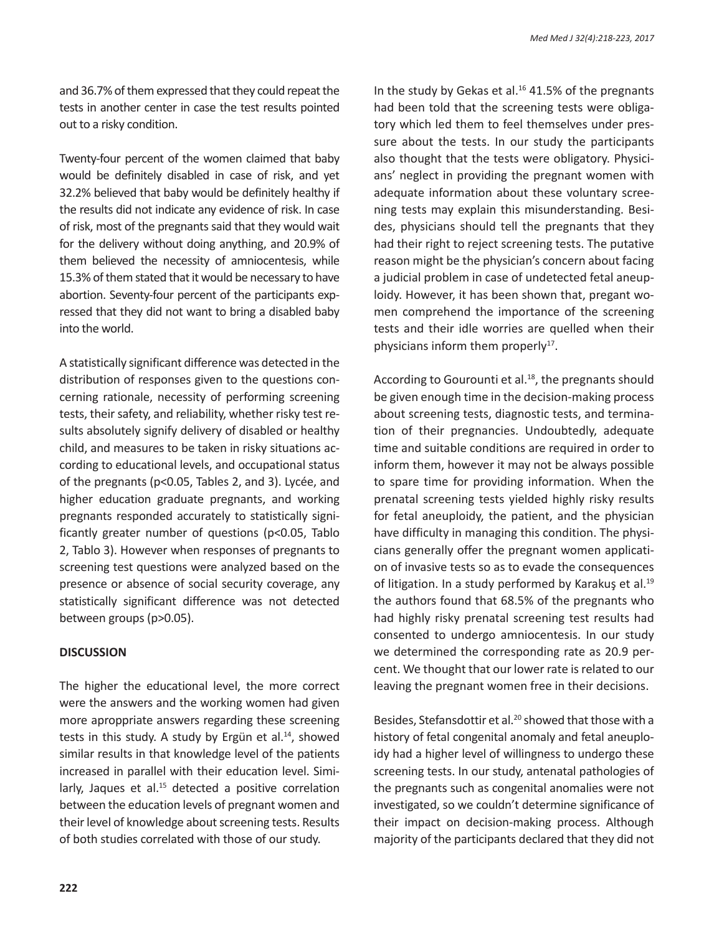and 36.7% of them expressed that they could repeat the tests in another center in case the test results pointed out to a risky condition.

Twenty-four percent of the women claimed that baby would be definitely disabled in case of risk, and yet 32.2% believed that baby would be definitely healthy if the results did not indicate any evidence of risk. In case of risk, most of the pregnants said that they would wait for the delivery without doing anything, and 20.9% of them believed the necessity of amniocentesis, while 15.3% of them stated that it would be necessary to have abortion. Seventy-four percent of the participants expressed that they did not want to bring a disabled baby into the world.

A statistically significant difference was detected in the distribution of responses given to the questions concerning rationale, necessity of performing screening tests, their safety, and reliability, whether risky test results absolutely signify delivery of disabled or healthy child, and measures to be taken in risky situations according to educational levels, and occupational status of the pregnants (p<0.05, Tables 2, and 3). Lycée, and higher education graduate pregnants, and working pregnants responded accurately to statistically significantly greater number of questions (p<0.05, Tablo 2, Tablo 3). However when responses of pregnants to screening test questions were analyzed based on the presence or absence of social security coverage, any statistically significant difference was not detected between groups (p>0.05).

## **DISCUSSION**

The higher the educational level, the more correct were the answers and the working women had given more aproppriate answers regarding these screening tests in this study. A study by Ergün et al. $^{14}$ , showed similar results in that knowledge level of the patients increased in parallel with their education level. Similarly, Jaques et al. $15$  detected a positive correlation between the education levels of pregnant women and their level of knowledge about screening tests. Results of both studies correlated with those of our study.

In the study by Gekas et al. $16$  41.5% of the pregnants had been told that the screening tests were obligatory which led them to feel themselves under pressure about the tests. In our study the participants also thought that the tests were obligatory. Physicians' neglect in providing the pregnant women with adequate information about these voluntary screening tests may explain this misunderstanding. Besides, physicians should tell the pregnants that they had their right to reject screening tests. The putative reason might be the physician's concern about facing a judicial problem in case of undetected fetal aneuploidy. However, it has been shown that, pregant women comprehend the importance of the screening tests and their idle worries are quelled when their physicians inform them properly $17$ .

According to Gourounti et al.<sup>18</sup>, the pregnants should be given enough time in the decision-making process about screening tests, diagnostic tests, and termination of their pregnancies. Undoubtedly, adequate time and suitable conditions are required in order to inform them, however it may not be always possible to spare time for providing information. When the prenatal screening tests yielded highly risky results for fetal aneuploidy, the patient, and the physician have difficulty in managing this condition. The physicians generally offer the pregnant women application of invasive tests so as to evade the consequences of litigation. In a study performed by Karakuş et al.<sup>19</sup> the authors found that 68.5% of the pregnants who had highly risky prenatal screening test results had consented to undergo amniocentesis. In our study we determined the corresponding rate as 20.9 percent. We thought that our lower rate is related to our leaving the pregnant women free in their decisions.

Besides, Stefansdottir et al.<sup>20</sup> showed that those with a history of fetal congenital anomaly and fetal aneuploidy had a higher level of willingness to undergo these screening tests. In our study, antenatal pathologies of the pregnants such as congenital anomalies were not investigated, so we couldn't determine significance of their impact on decision-making process. Although majority of the participants declared that they did not